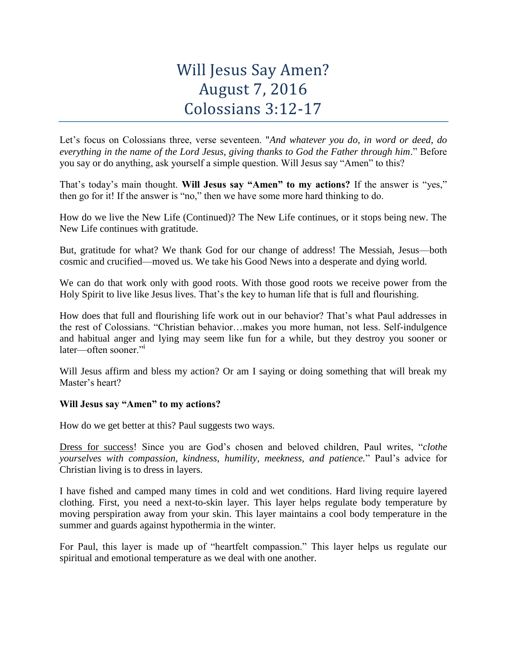## Will Jesus Say Amen? August 7, 2016 Colossians 3:12-17

Let's focus on Colossians three, verse seventeen. "*And whatever you do, in word or deed, do everything in the name of the Lord Jesus, giving thanks to God the Father through him*." Before you say or do anything, ask yourself a simple question. Will Jesus say "Amen" to this?

That's today's main thought. **Will Jesus say "Amen" to my actions?** If the answer is "yes," then go for it! If the answer is "no," then we have some more hard thinking to do.

How do we live the New Life (Continued)? The New Life continues, or it stops being new. The New Life continues with gratitude.

But, gratitude for what? We thank God for our change of address! The Messiah, Jesus—both cosmic and crucified—moved us. We take his Good News into a desperate and dying world.

We can do that work only with good roots. With those good roots we receive power from the Holy Spirit to live like Jesus lives. That's the key to human life that is full and flourishing.

How does that full and flourishing life work out in our behavior? That's what Paul addresses in the rest of Colossians. "Christian behavior…makes you more human, not less. Self-indulgence and habitual anger and lying may seem like fun for a while, but they destroy you sooner or later—often sooner."<sup>i</sup>

Will Jesus affirm and bless my action? Or am I saying or doing something that will break my Master's heart?

## **Will Jesus say "Amen" to my actions?**

How do we get better at this? Paul suggests two ways.

Dress for success! Since you are God's chosen and beloved children, Paul writes, "*clothe yourselves with compassion, kindness, humility, meekness, and patience.*" Paul's advice for Christian living is to dress in layers.

I have fished and camped many times in cold and wet conditions. Hard living require layered clothing. First, you need a next-to-skin layer. This layer helps regulate body temperature by moving perspiration away from your skin. This layer maintains a cool body temperature in the summer and guards against hypothermia in the winter.

For Paul, this layer is made up of "heartfelt compassion." This layer helps us regulate our spiritual and emotional temperature as we deal with one another.